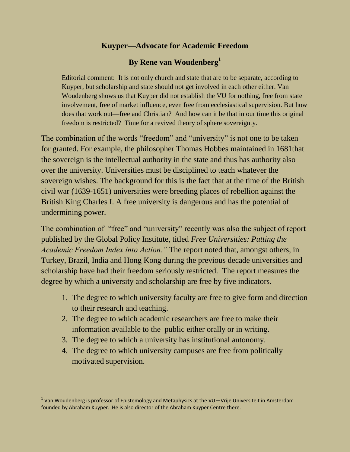# **Kuyper—Advocate for Academic Freedom**

# **By Rene van Woudenberg<sup>1</sup>**

Editorial comment: It is not only church and state that are to be separate, according to Kuyper, but scholarship and state should not get involved in each other either. Van Woudenberg shows us that Kuyper did not establish the VU for nothing, free from state involvement, free of market influence, even free from ecclesiastical supervision. But how does that work out—free and Christian? And how can it be that in our time this original freedom is restricted? Time for a revived theory of sphere sovereignty.

The combination of the words "freedom" and "university" is not one to be taken for granted. For example, the philosopher Thomas Hobbes maintained in 1681that the sovereign is the intellectual authority in the state and thus has authority also over the university. Universities must be disciplined to teach whatever the sovereign wishes. The background for this is the fact that at the time of the British civil war (1639-1651) universities were breeding places of rebellion against the British King Charles I. A free university is dangerous and has the potential of undermining power.

The combination of "free" and "university" recently was also the subject of report published by the Global Policy Institute, titled *Free Universities: Putting the Academic Freedom Index into Action."* The report noted that, amongst others, in Turkey, Brazil, India and Hong Kong during the previous decade universities and scholarship have had their freedom seriously restricted. The report measures the degree by which a university and scholarship are free by five indicators.

- 1. The degree to which university faculty are free to give form and direction to their research and teaching.
- 2. The degree to which academic researchers are free to make their information available to the public either orally or in writing.
- 3. The degree to which a university has institutional autonomy.
- 4. The degree to which university campuses are free from politically motivated supervision.

<sup>&</sup>lt;sup>1</sup> Van Woudenberg is professor of Epistemology and Metaphysics at the VU—Vrije Universiteit in Amsterdam founded by Abraham Kuyper. He is also director of the Abraham Kuyper Centre there.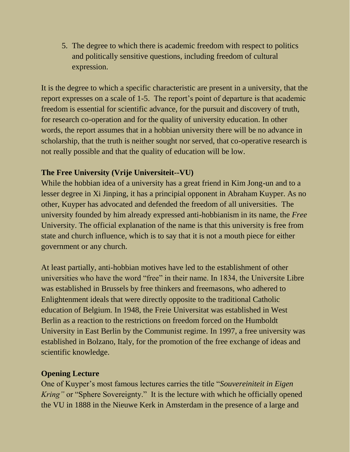5. The degree to which there is academic freedom with respect to politics and politically sensitive questions, including freedom of cultural expression.

It is the degree to which a specific characteristic are present in a university, that the report expresses on a scale of 1-5. The report's point of departure is that academic freedom is essential for scientific advance, for the pursuit and discovery of truth, for research co-operation and for the quality of university education. In other words, the report assumes that in a hobbian university there will be no advance in scholarship, that the truth is neither sought nor served, that co-operative research is not really possible and that the quality of education will be low.

# **The Free University (Vrije Universiteit--VU)**

While the hobbian idea of a university has a great friend in Kim Jong-un and to a lesser degree in Xi Jinping, it has a principial opponent in Abraham Kuyper. As no other, Kuyper has advocated and defended the freedom of all universities. The university founded by him already expressed anti-hobbianism in its name, the *Free* University. The official explanation of the name is that this university is free from state and church influence, which is to say that it is not a mouth piece for either government or any church.

At least partially, anti-hobbian motives have led to the establishment of other universities who have the word "free" in their name. In 1834, the Universite Libre was established in Brussels by free thinkers and freemasons, who adhered to Enlightenment ideals that were directly opposite to the traditional Catholic education of Belgium. In 1948, the Freie Universitat was established in West Berlin as a reaction to the restrictions on freedom forced on the Humboldt University in East Berlin by the Communist regime. In 1997, a free university was established in Bolzano, Italy, for the promotion of the free exchange of ideas and scientific knowledge.

### **Opening Lecture**

One of Kuyper's most famous lectures carries the title "*Souvereiniteit in Eigen Kring*" or "Sphere Sovereignty." It is the lecture with which he officially opened the VU in 1888 in the Nieuwe Kerk in Amsterdam in the presence of a large and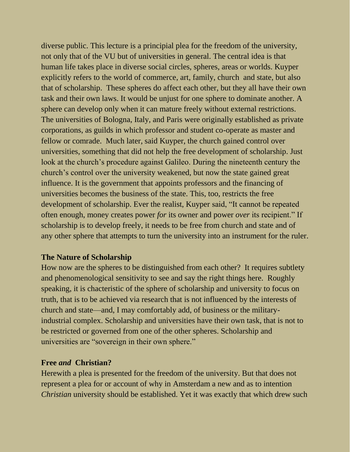diverse public. This lecture is a principial plea for the freedom of the university, not only that of the VU but of universities in general. The central idea is that human life takes place in diverse social circles, spheres, areas or worlds. Kuyper explicitly refers to the world of commerce, art, family, church and state, but also that of scholarship. These spheres do affect each other, but they all have their own task and their own laws. It would be unjust for one sphere to dominate another. A sphere can develop only when it can mature freely without external restrictions. The universities of Bologna, Italy, and Paris were originally established as private corporations, as guilds in which professor and student co-operate as master and fellow or comrade. Much later, said Kuyper, the church gained control over universities, something that did not help the free development of scholarship. Just look at the church's procedure against Galileo. During the nineteenth century the church's control over the university weakened, but now the state gained great influence. It is the government that appoints professors and the financing of universities becomes the business of the state. This, too, restricts the free development of scholarship. Ever the realist, Kuyper said, "It cannot be repeated often enough, money creates power *for* its owner and power *over* its recipient." If scholarship is to develop freely, it needs to be free from church and state and of any other sphere that attempts to turn the university into an instrument for the ruler.

#### **The Nature of Scholarship**

How now are the spheres to be distinguished from each other? It requires subtlety and phenomenological sensitivity to see and say the right things here. Roughly speaking, it is chacteristic of the sphere of scholarship and university to focus on truth, that is to be achieved via research that is not influenced by the interests of church and state—and, I may comfortably add, of business or the militaryindustrial complex. Scholarship and universities have their own task, that is not to be restricted or governed from one of the other spheres. Scholarship and universities are "sovereign in their own sphere."

#### **Free** *and* **Christian?**

Herewith a plea is presented for the freedom of the university. But that does not represent a plea for or account of why in Amsterdam a new and as to intention *Christian* university should be established. Yet it was exactly that which drew such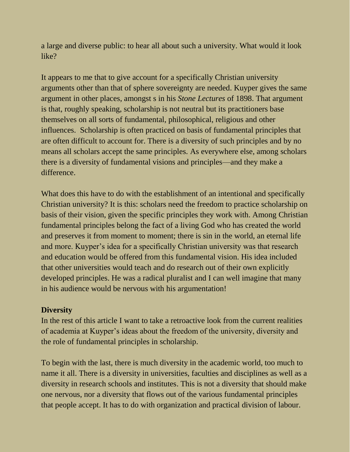a large and diverse public: to hear all about such a university. What would it look like?

It appears to me that to give account for a specifically Christian university arguments other than that of sphere sovereignty are needed. Kuyper gives the same argument in other places, amongst s in his *Stone Lectures* of 1898. That argument is that, roughly speaking, scholarship is not neutral but its practitioners base themselves on all sorts of fundamental, philosophical, religious and other influences. Scholarship is often practiced on basis of fundamental principles that are often difficult to account for. There is a diversity of such principles and by no means all scholars accept the same principles. As everywhere else, among scholars there is a diversity of fundamental visions and principles—and they make a difference.

What does this have to do with the establishment of an intentional and specifically Christian university? It is this: scholars need the freedom to practice scholarship on basis of their vision, given the specific principles they work with. Among Christian fundamental principles belong the fact of a living God who has created the world and preserves it from moment to moment; there is sin in the world, an eternal life and more. Kuyper's idea for a specifically Christian university was that research and education would be offered from this fundamental vision. His idea included that other universities would teach and do research out of their own explicitly developed principles. He was a radical pluralist and I can well imagine that many in his audience would be nervous with his argumentation!

### **Diversity**

In the rest of this article I want to take a retroactive look from the current realities of academia at Kuyper's ideas about the freedom of the university, diversity and the role of fundamental principles in scholarship.

To begin with the last, there is much diversity in the academic world, too much to name it all. There is a diversity in universities, faculties and disciplines as well as a diversity in research schools and institutes. This is not a diversity that should make one nervous, nor a diversity that flows out of the various fundamental principles that people accept. It has to do with organization and practical division of labour.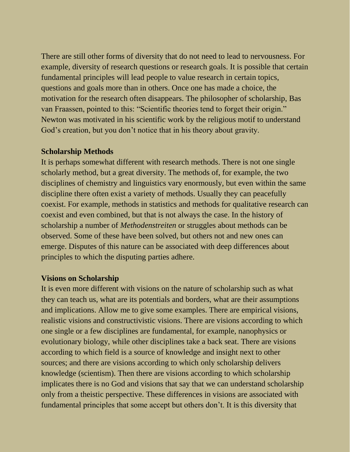There are still other forms of diversity that do not need to lead to nervousness. For example, diversity of research questions or research goals. It is possible that certain fundamental principles will lead people to value research in certain topics, questions and goals more than in others. Once one has made a choice, the motivation for the research often disappears. The philosopher of scholarship, Bas van Fraassen, pointed to this: "Scientific theories tend to forget their origin." Newton was motivated in his scientific work by the religious motif to understand God's creation, but you don't notice that in his theory about gravity.

#### **Scholarship Methods**

It is perhaps somewhat different with research methods. There is not one single scholarly method, but a great diversity. The methods of, for example, the two disciplines of chemistry and linguistics vary enormously, but even within the same discipline there often exist a variety of methods. Usually they can peacefully coexist. For example, methods in statistics and methods for qualitative research can coexist and even combined, but that is not always the case. In the history of scholarship a number of *Methodenstreiten* or struggles about methods can be observed. Some of these have been solved, but others not and new ones can emerge. Disputes of this nature can be associated with deep differences about principles to which the disputing parties adhere.

#### **Visions on Scholarship**

It is even more different with visions on the nature of scholarship such as what they can teach us, what are its potentials and borders, what are their assumptions and implications. Allow me to give some examples. There are empirical visions, realistic visions and constructivistic visions. There are visions according to which one single or a few disciplines are fundamental, for example, nanophysics or evolutionary biology, while other disciplines take a back seat. There are visions according to which field is a source of knowledge and insight next to other sources; and there are visions according to which only scholarship delivers knowledge (scientism). Then there are visions according to which scholarship implicates there is no God and visions that say that we can understand scholarship only from a theistic perspective. These differences in visions are associated with fundamental principles that some accept but others don't. It is this diversity that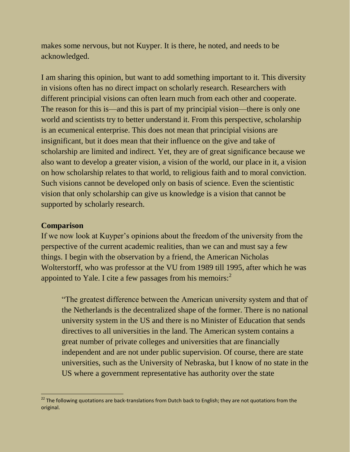makes some nervous, but not Kuyper. It is there, he noted, and needs to be acknowledged.

I am sharing this opinion, but want to add something important to it. This diversity in visions often has no direct impact on scholarly research. Researchers with different principial visions can often learn much from each other and cooperate. The reason for this is—and this is part of my principial vision—there is only one world and scientists try to better understand it. From this perspective, scholarship is an ecumenical enterprise. This does not mean that principial visions are insignificant, but it does mean that their influence on the give and take of scholarship are limited and indirect. Yet, they are of great significance because we also want to develop a greater vision, a vision of the world, our place in it, a vision on how scholarship relates to that world, to religious faith and to moral conviction. Such visions cannot be developed only on basis of science. Even the scientistic vision that only scholarship can give us knowledge is a vision that cannot be supported by scholarly research.

### **Comparison**

If we now look at Kuyper's opinions about the freedom of the university from the perspective of the current academic realities, than we can and must say a few things. I begin with the observation by a friend, the American Nicholas Wolterstorff, who was professor at the VU from 1989 till 1995, after which he was appointed to Yale. I cite a few passages from his memoirs:<sup>2</sup>

"The greatest difference between the American university system and that of the Netherlands is the decentralized shape of the former. There is no national university system in the US and there is no Minister of Education that sends directives to all universities in the land. The American system contains a great number of private colleges and universities that are financially independent and are not under public supervision. Of course, there are state universities, such as the University of Nebraska, but I know of no state in the US where a government representative has authority over the state

**EXECUTE THE FOLLOWING THE SECT THE SECT 12**<br><sup>22</sup> The following quotations are back-translations from Dutch back to English; they are not quotations from the original.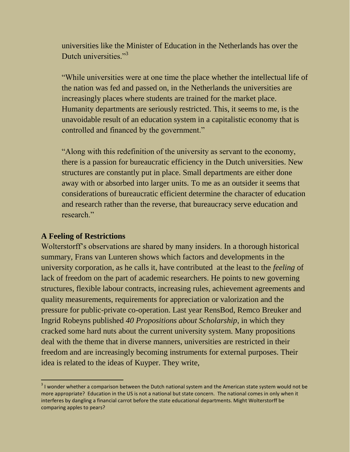universities like the Minister of Education in the Netherlands has over the Dutch universities."<sup>3</sup>

"While universities were at one time the place whether the intellectual life of the nation was fed and passed on, in the Netherlands the universities are increasingly places where students are trained for the market place. Humanity departments are seriously restricted. This, it seems to me, is the unavoidable result of an education system in a capitalistic economy that is controlled and financed by the government."

"Along with this redefinition of the university as servant to the economy, there is a passion for bureaucratic efficiency in the Dutch universities. New structures are constantly put in place. Small departments are either done away with or absorbed into larger units. To me as an outsider it seems that considerations of bureaucratic efficient determine the character of education and research rather than the reverse, that bureaucracy serve education and research."

#### **A Feeling of Restrictions**

 $\frac{1}{2}$ 

Wolterstorff's observations are shared by many insiders. In a thorough historical summary, Frans van Lunteren shows which factors and developments in the university corporation, as he calls it, have contributed at the least to the *feeling* of lack of freedom on the part of academic researchers. He points to new governing structures, flexible labour contracts, increasing rules, achievement agreements and quality measurements, requirements for appreciation or valorization and the pressure for public-private co-operation. Last year RensBod, Remco Breuker and Ingrid Robeyns published *40 Propositions about Scholarship*, in which they cracked some hard nuts about the current university system. Many propositions deal with the theme that in diverse manners, universities are restricted in their freedom and are increasingly becoming instruments for external purposes. Their idea is related to the ideas of Kuyper. They write,

 $3$  I wonder whether a comparison between the Dutch national system and the American state system would not be more appropriate? Education in the US is not a national but state concern. The national comes in only when it interferes by dangling a financial carrot before the state educational departments. Might Wolterstorff be comparing apples to pears?